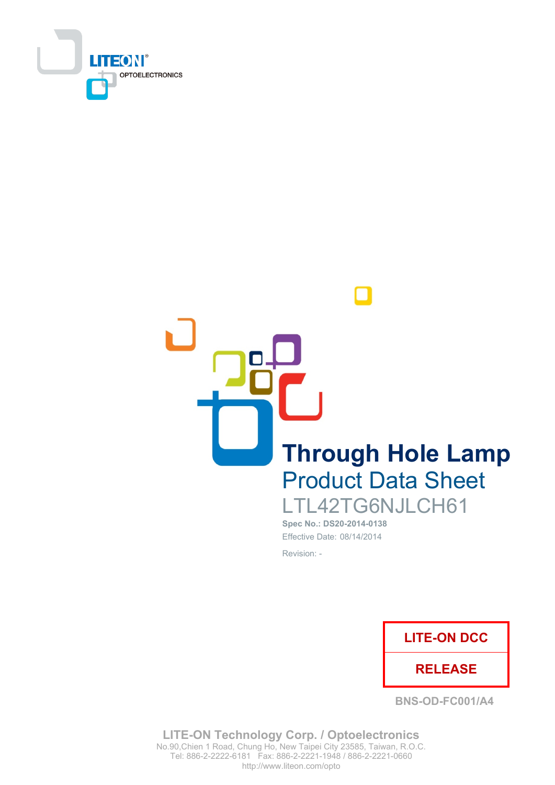

**Through Hole Lamp Product Data Sheet** LTL42TG6NJLCH61

Spec No.: DS20-2014-0138 Effective Date: 08/14/2014 Revision: -



**BNS-OD-FC001/A4** 

**LITE-ON Technology Corp. / Optoelectronics** No.90, Chien 1 Road, Chung Ho, New Taipei City 23585, Taiwan, R.O.C. Tel: 886-2-2222-6181 Fax: 886-2-2221-1948 / 886-2-2221-0660 http://www.liteon.com/opto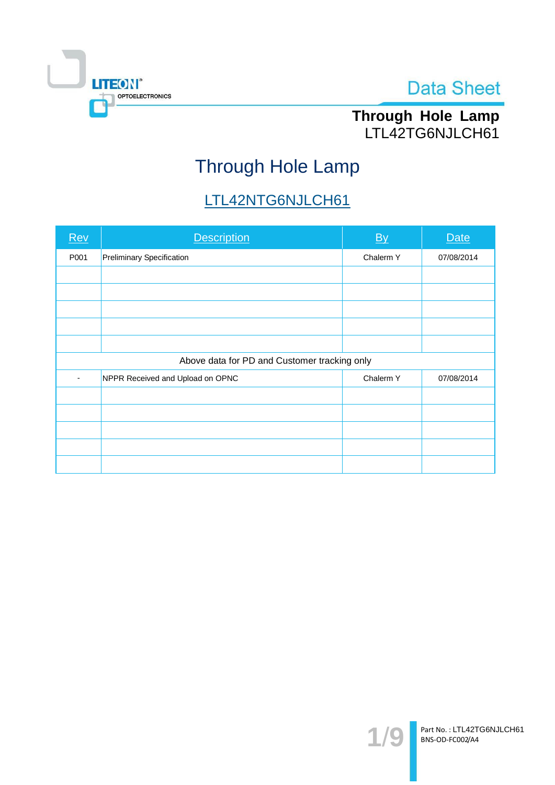

# Through Hole Lamp<br>LTL42TG6NJLCH61

# Through Hole Lamp

## LTL42NTG6NJLCH61

| Rev                                          | <b>Description</b>               | By        | <b>Date</b> |  |  |
|----------------------------------------------|----------------------------------|-----------|-------------|--|--|
| P001                                         | <b>Preliminary Specification</b> | Chalerm Y | 07/08/2014  |  |  |
|                                              |                                  |           |             |  |  |
|                                              |                                  |           |             |  |  |
|                                              |                                  |           |             |  |  |
|                                              |                                  |           |             |  |  |
|                                              |                                  |           |             |  |  |
| Above data for PD and Customer tracking only |                                  |           |             |  |  |
|                                              | NPPR Received and Upload on OPNC | Chalerm Y | 07/08/2014  |  |  |
|                                              |                                  |           |             |  |  |
|                                              |                                  |           |             |  |  |
|                                              |                                  |           |             |  |  |
|                                              |                                  |           |             |  |  |
|                                              |                                  |           |             |  |  |

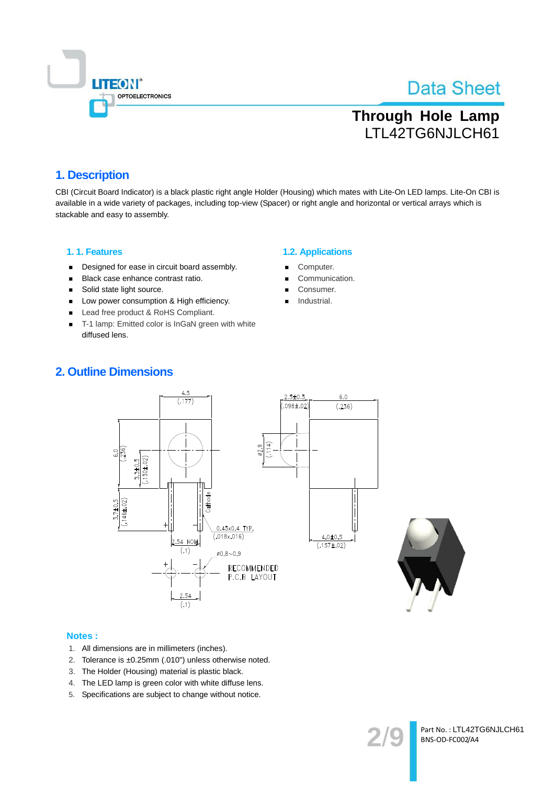

### **Through Hole Lamp** LTL42TG6NJLCH61

### 1. Description

CBI (Circuit Board Indicator) is a black plastic right angle Holder (Housing) which mates with Lite-On LED lamps. Lite-On CBI is available in a wide variety of packages, including top-view (Spacer) or right angle and horizontal or vertical arrays which is stackable and easy to assembly.

#### 1.1. Features

- Designed for ease in circuit board assembly.  $\blacksquare$
- Black case enhance contrast ratio.  $\blacksquare$
- $\blacksquare$ Solid state light source.
- Low power consumption & High efficiency.
- Lead free product & RoHS Compliant.
- T-1 lamp: Emitted color is InGaN green with white diffused lens.

### **1.2. Applications**

- Computer.
- Communication.
- Consumer.
- Industrial.

### **2. Outline Dimensions**





#### **Notes:**

- 1. All dimensions are in millimeters (inches).
- 2. Tolerance is ±0.25mm (.010") unless otherwise noted.
- 3. The Holder (Housing) material is plastic black.
- 4. The LED lamp is green color with white diffuse lens.
- 5. Specifications are subject to change without notice.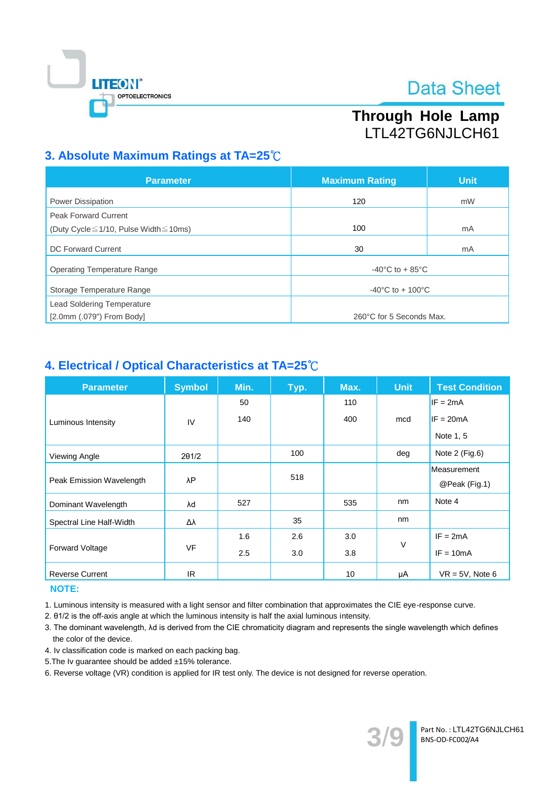

### Through Hole Lamp LTL42TG6NJLCH61

### 3. Absolute Maximum Ratings at TA=25°C

| <b>Parameter</b>                                  | <b>Maximum Rating</b>                 | <b>Unit</b> |  |
|---------------------------------------------------|---------------------------------------|-------------|--|
| <b>Power Dissipation</b>                          | 120                                   | mW          |  |
| <b>Peak Forward Current</b>                       |                                       |             |  |
| (Duty Cycle $\leq$ 1/10, Pulse Width $\leq$ 10ms) | 100                                   | mA          |  |
| DC Forward Current                                | 30                                    | mA          |  |
| <b>Operating Temperature Range</b>                | $-40^{\circ}$ C to + 85 $^{\circ}$ C  |             |  |
| Storage Temperature Range                         | $-40^{\circ}$ C to + 100 $^{\circ}$ C |             |  |
| <b>Lead Soldering Temperature</b>                 |                                       |             |  |
| $[2.0$ mm $(.079")$ From Body]                    | 260°C for 5 Seconds Max.              |             |  |

### 4. Electrical / Optical Characteristics at TA=25°C

| <b>Parameter</b>         | <b>Symbol</b> | Min. | Тур. | Max. | <b>Unit</b> | <b>Test Condition</b> |
|--------------------------|---------------|------|------|------|-------------|-----------------------|
|                          |               | 50   |      | 110  |             | $IF = 2mA$            |
| Luminous Intensity       | IV            | 140  |      | 400  | mcd         | $IF = 20mA$           |
|                          |               |      |      |      |             | Note 1, 5             |
| Viewing Angle            | 201/2         |      | 100  |      | deg         | Note 2 (Fig.6)        |
|                          | λP            |      | 518  |      |             | Measurement           |
| Peak Emission Wavelength |               |      |      |      |             | @Peak (Fig.1)         |
| Dominant Wavelength      | λd            | 527  |      | 535  | nm          | Note 4                |
| Spectral Line Half-Width | Δλ            |      | 35   |      | nm          |                       |
|                          |               | 1.6  | 2.6  | 3.0  | $\vee$      | $IF = 2mA$            |
| <b>Forward Voltage</b>   | <b>VF</b>     | 2.5  | 3.0  | 3.8  |             | $IF = 10mA$           |
| <b>Reverse Current</b>   | IR.           |      |      | 10   | μA          | $VR = 5V$ , Note 6    |

### **NOTE:**

1. Luminous intensity is measured with a light sensor and filter combination that approximates the CIE eye-response curve.

2. 01/2 is the off-axis angle at which the luminous intensity is half the axial luminous intensity.

- 3. The dominant wavelength, Ad is derived from the CIE chromaticity diagram and represents the single wavelength which defines the color of the device.
- 4. Iv classification code is marked on each packing bag.
- 5. The Iv guarantee should be added ±15% tolerance.

6. Reverse voltage (VR) condition is applied for IR test only. The device is not designed for reverse operation.

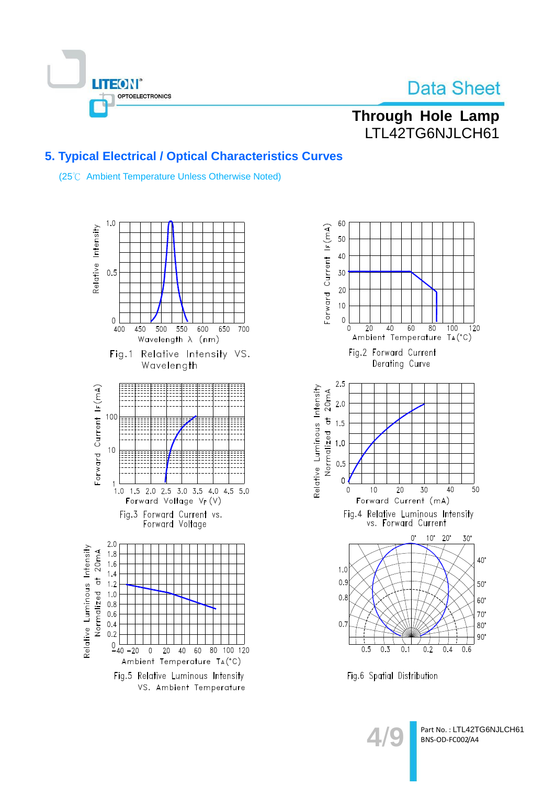

### Through Hole Lamp LTL42TG6NJLCH61

### 5. Typical Electrical / Optical Characteristics Curves

(25°C Ambient Temperature Unless Otherwise Noted)







Part No.: LTL42TG6NJLCH61 BNS-OD-FC002/A4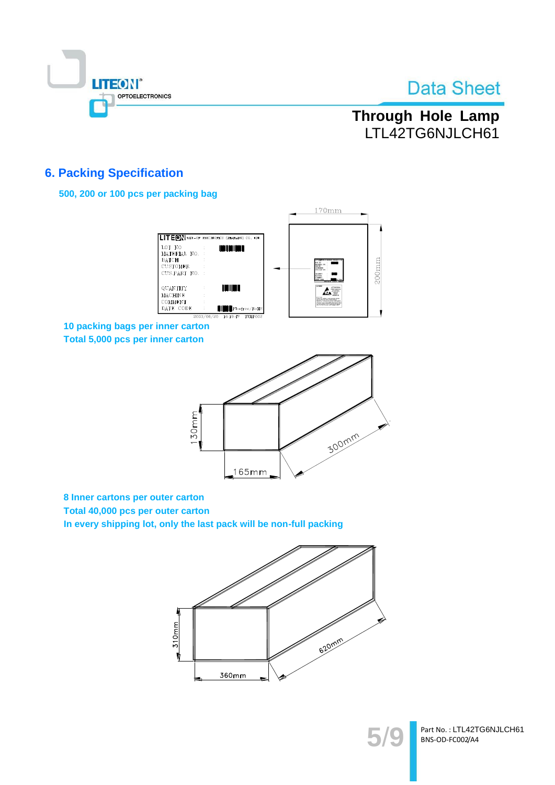

### **Through Hole Lamp** LTL42TG6NJLCH61

### **6. Packing Specification**

### 500, 200 or 100 pcs per packing bag



10 packing bags per inner carton Total 5,000 pcs per inner carton



8 Inner cartons per outer carton

Total 40,000 pcs per outer carton In every shipping lot, only the last pack will be non-full packing





Part No.: LTL42TG6NJLCH61 BNS-OD-FC002/A4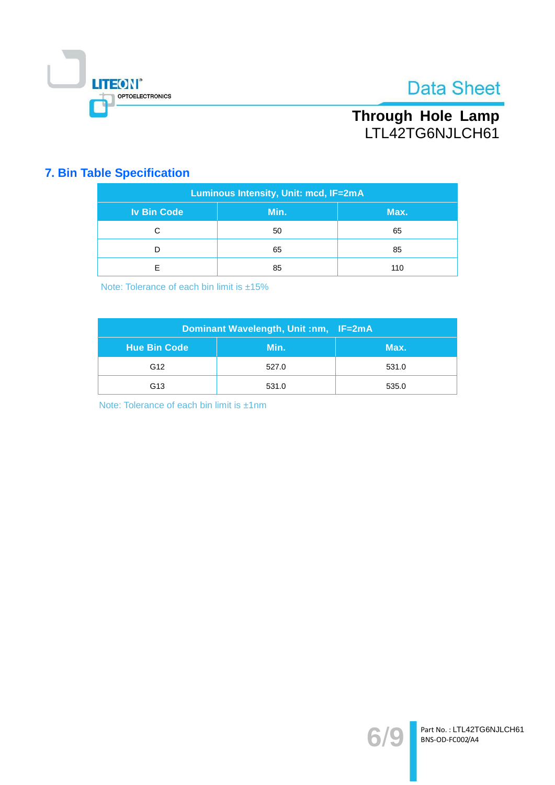

### Through Hole Lamp LTL42TG6NJLCH61

### **7. Bin Table Specification**

| Luminous Intensity, Unit: mcd, IF=2mA |      |      |  |  |
|---------------------------------------|------|------|--|--|
| <b>Iv Bin Code</b>                    | Min. | Max. |  |  |
| С                                     | 50   | 65   |  |  |
|                                       | 65   | 85   |  |  |
| F                                     | 85   | 110  |  |  |

Note: Tolerance of each bin limit is ±15%

| Dominant Wavelength, Unit :nm, IF=2mA |       |       |  |  |
|---------------------------------------|-------|-------|--|--|
| <b>Hue Bin Code</b>                   | Min.  | Max.  |  |  |
| G <sub>12</sub>                       | 527.0 | 531.0 |  |  |
| G <sub>13</sub>                       | 531.0 | 535.0 |  |  |

Note: Tolerance of each bin limit is ±1nm

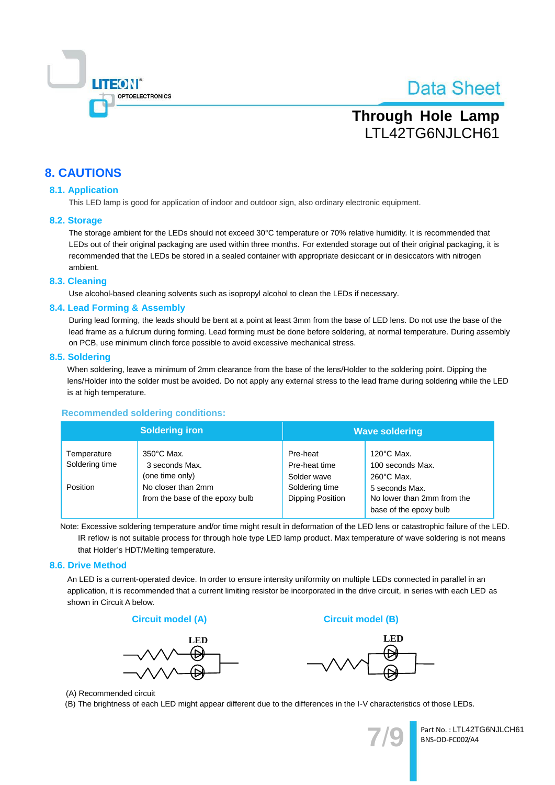

### **Through Hole Lamp** LTL42TG6NJLCH61

### **8. CAUTIONS**

#### **8.1. Application**

This LED lamp is good for application of indoor and outdoor sign, also ordinary electronic equipment.

#### 8.2. Storage

The storage ambient for the LEDs should not exceed 30°C temperature or 70% relative humidity. It is recommended that LEDs out of their original packaging are used within three months. For extended storage out of their original packaging, it is recommended that the LEDs be stored in a sealed container with appropriate desiccant or in desiccators with nitrogen ambient.

#### 8.3. Cleaning

Use alcohol-based cleaning solvents such as isopropyl alcohol to clean the LEDs if necessary.

#### 8.4. Lead Forming & Assembly

During lead forming, the leads should be bent at a point at least 3mm from the base of LED lens. Do not use the base of the lead frame as a fulcrum during forming. Lead forming must be done before soldering, at normal temperature. During assembly on PCB, use minimum clinch force possible to avoid excessive mechanical stress.

#### 8.5. Soldering

When soldering, leave a minimum of 2mm clearance from the base of the lens/Holder to the soldering point. Dipping the lens/Holder into the solder must be avoided. Do not apply any external stress to the lead frame during soldering while the LED is at high temperature.

#### **Recommended soldering conditions:**

|                                           | <b>Soldering iron</b>                                                                                              | <b>Wave soldering</b>                                                          |                                                                                                                                            |  |
|-------------------------------------------|--------------------------------------------------------------------------------------------------------------------|--------------------------------------------------------------------------------|--------------------------------------------------------------------------------------------------------------------------------------------|--|
| Temperature<br>Soldering time<br>Position | $350^{\circ}$ C Max.<br>3 seconds Max.<br>(one time only)<br>No closer than 2mm<br>from the base of the epoxy bulb | Pre-heat<br>Pre-heat time<br>Solder wave<br>Soldering time<br>Dipping Position | $120^{\circ}$ C Max.<br>100 seconds Max.<br>$260^{\circ}$ C Max.<br>5 seconds Max.<br>No lower than 2mm from the<br>base of the epoxy bulb |  |

Note: Excessive soldering temperature and/or time might result in deformation of the LED lens or catastrophic failure of the LED. IR reflow is not suitable process for through hole type LED lamp product. Max temperature of wave soldering is not means that Holder's HDT/Melting temperature.

#### 8.6. Drive Method

An LED is a current-operated device. In order to ensure intensity uniformity on multiple LEDs connected in parallel in an application, it is recommended that a current limiting resistor be incorporated in the drive circuit, in series with each LED as shown in Circuit A below.







**Circuit model (B)** 

(A) Recommended circuit

(B) The brightness of each LED might appear different due to the differences in the I-V characteristics of those LEDs.

Part No.: LTL42TG6NJLCH61 BNS-OD-FC002/A4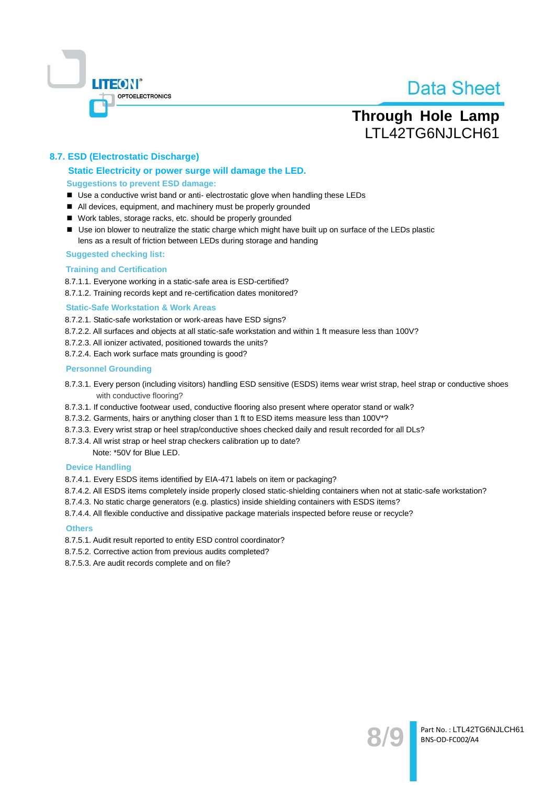

### **Through Hole Lamp** LTL42TG6NJLCH61

### 8.7. ESD (Electrostatic Discharge)

#### Static Electricity or power surge will damage the LED. **Suggestions to prevent ESD damage:**

- Use a conductive wrist band or anti- electrostatic glove when handling these LEDs
- All devices, equipment, and machinery must be properly grounded
- Work tables, storage racks, etc. should be properly grounded
- Use ion blower to neutralize the static charge which might have built up on surface of the LEDs plastic lens as a result of friction between LEDs during storage and handing

#### **Suggested checking list:**

#### **Training and Certification**

8.7.1.1. Everyone working in a static-safe area is ESD-certified?

8.7.1.2. Training records kept and re-certification dates monitored?

#### **Static-Safe Workstation & Work Areas**

8.7.2.1. Static-safe workstation or work-areas have ESD signs?

- 8.7.2.2. All surfaces and objects at all static-safe workstation and within 1 ft measure less than 100V?
- 8.7.2.3. All ionizer activated, positioned towards the units?
- 8.7.2.4. Each work surface mats grounding is good?

#### **Personnel Grounding**

- 8.7.3.1. Every person (including visitors) handling ESD sensitive (ESDS) items wear wrist strap, heel strap or conductive shoes with conductive flooring?
- 8.7.3.1. If conductive footwear used, conductive flooring also present where operator stand or walk?
- 8.7.3.2. Garments, hairs or anything closer than 1 ft to ESD items measure less than 100V\*?
- 8.7.3.3. Every wrist strap or heel strap/conductive shoes checked daily and result recorded for all DLs?
- 8.7.3.4. All wrist strap or heel strap checkers calibration up to date?

Note: \*50V for Blue LED.

#### **Device Handling**

8.7.4.1. Every ESDS items identified by EIA-471 labels on item or packaging?

- 8.7.4.2. All ESDS items completely inside properly closed static-shielding containers when not at static-safe workstation?
- 8.7.4.3. No static charge generators (e.g. plastics) inside shielding containers with ESDS items?
- 8.7.4.4. All flexible conductive and dissipative package materials inspected before reuse or recycle?

#### **Others**

- 8.7.5.1. Audit result reported to entity ESD control coordinator?
- 8.7.5.2. Corrective action from previous audits completed?
- 8.7.5.3. Are audit records complete and on file?